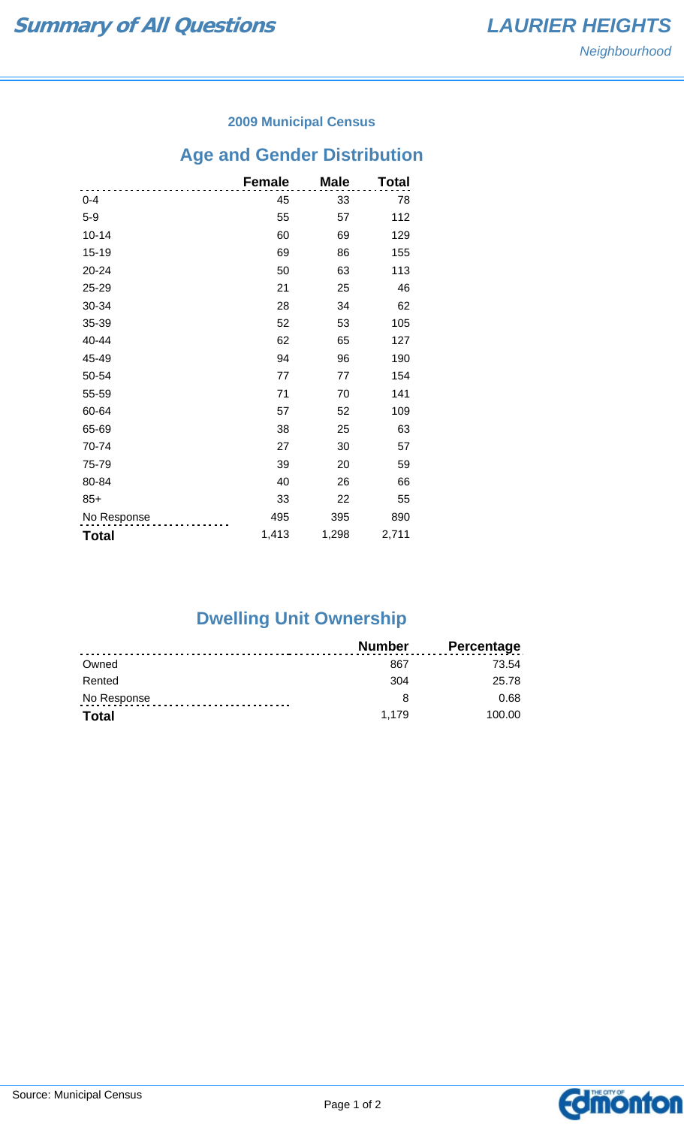#### **2009 Municipal Census**

# **Age and Gender Distribution**

|              | <b>Female</b> | <b>Male</b> | Total |
|--------------|---------------|-------------|-------|
| $0 - 4$      | 45            | 33          | 78    |
| $5-9$        | 55            | 57          | 112   |
| $10 - 14$    | 60            | 69          | 129   |
| 15-19        | 69            | 86          | 155   |
| 20-24        | 50            | 63          | 113   |
| 25-29        | 21            | 25          | 46    |
| 30-34        | 28            | 34          | 62    |
| 35-39        | 52            | 53          | 105   |
| 40-44        | 62            | 65          | 127   |
| 45-49        | 94            | 96          | 190   |
| 50-54        | 77            | 77          | 154   |
| 55-59        | 71            | 70          | 141   |
| 60-64        | 57            | 52          | 109   |
| 65-69        | 38            | 25          | 63    |
| 70-74        | 27            | 30          | 57    |
| 75-79        | 39            | 20          | 59    |
| 80-84        | 40            | 26          | 66    |
| $85+$        | 33            | 22          | 55    |
| No Response  | 495           | 395         | 890   |
| <b>Total</b> | 1,413         | 1,298       | 2,711 |

## **Dwelling Unit Ownership**

|              | <b>Number</b> | <b>Percentage</b> |
|--------------|---------------|-------------------|
| Owned        | 867           | 73.54             |
| Rented       | 304           | 25.78             |
| No Response  |               | 0.68              |
| <b>Total</b> | 1.179         | 100.00            |